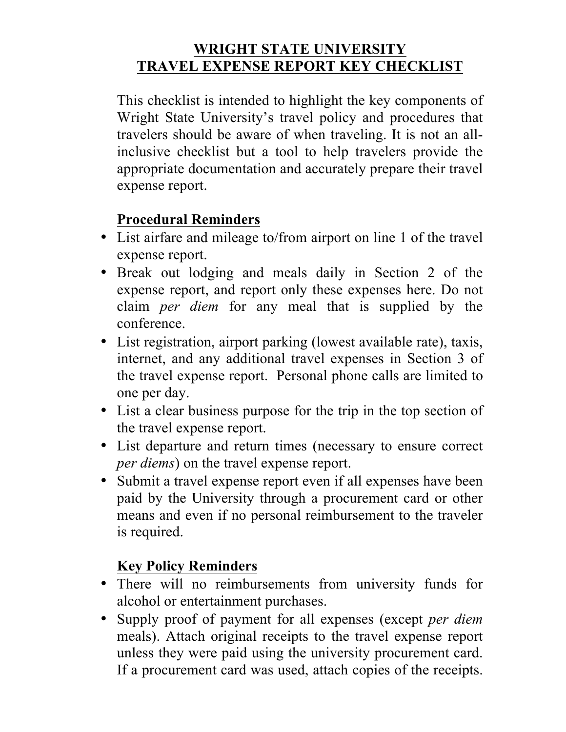## **WRIGHT STATE UNIVERSITY TRAVEL EXPENSE REPORT KEY CHECKLIST**

This checklist is intended to highlight the key components of Wright State University's travel policy and procedures that travelers should be aware of when traveling. It is not an allinclusive checklist but a tool to help travelers provide the appropriate documentation and accurately prepare their travel expense report.

## **Procedural Reminders**

- List airfare and mileage to/from airport on line 1 of the travel expense report.
- Break out lodging and meals daily in Section 2 of the expense report, and report only these expenses here. Do not claim *per diem* for any meal that is supplied by the conference.
- List registration, airport parking (lowest available rate), taxis, internet, and any additional travel expenses in Section 3 of the travel expense report. Personal phone calls are limited to one per day.
- List a clear business purpose for the trip in the top section of the travel expense report.
- List departure and return times (necessary to ensure correct *per diems*) on the travel expense report.
- Submit a travel expense report even if all expenses have been paid by the University through a procurement card or other means and even if no personal reimbursement to the traveler is required.

## **Key Policy Reminders**

- There will no reimbursements from university funds for alcohol or entertainment purchases.
- Supply proof of payment for all expenses (except *per diem* meals). Attach original receipts to the travel expense report unless they were paid using the university procurement card. If a procurement card was used, attach copies of the receipts.